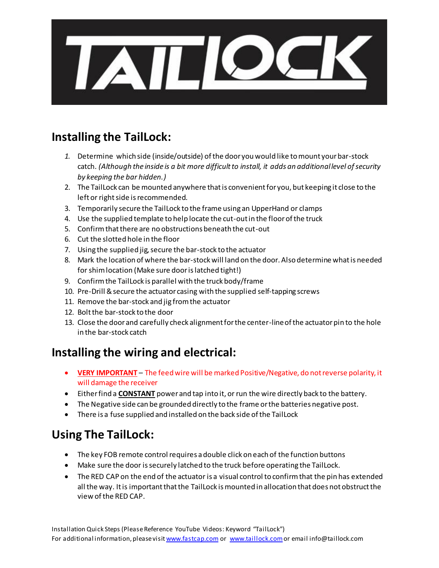

# **Installing the TailLock:**

- *1.* Determine which side (inside/outside) of the door you would like to mount your bar-stock catch. *(Although the inside is a bit more difficult to install, it adds an additional level of security by keeping the bar hidden.)*
- 2. The TailLock can be mounted anywhere that is convenient for you, but keeping it close to the left or right side is recommended.
- 3. Temporarily secure the TailLock to the frame using an UpperHand or clamps
- 4. Use the supplied template to help locate the cut-out in the floor of the truck
- 5. Confirm that there are no obstructions beneath the cut-out
- 6. Cut the slotted hole in the floor
- 7. Using the supplied jig, secure the bar-stock to the actuator
- 8. Mark the location of where the bar-stock will land on the door. Also determine what is needed for shim location (Make sure door is latched tight!)
- 9. Confirm the TailLock is parallel with the truck body/frame
- 10. Pre-Drill & secure the actuator casing with the supplied self-tapping screws
- 11. Remove the bar-stock and jig from the actuator
- 12. Bolt the bar-stock to the door
- 13. Close the door and carefully check alignment for the center-line of the actuator pin to the hole in the bar-stock catch

# **Installing the wiring and electrical:**

- **VERY IMPORTANT** The feed wire will be marked Positive/Negative, do not reverse polarity, it will damage the receiver
- Either find a **CONSTANT** power and tap into it, or run the wire directly back to the battery.
- The Negative side can be grounded directly to the frame or the batteries negative post.
- There is a fuse supplied and installed on the back side of the TailLock

# **Using The TailLock:**

- The key FOB remote control requires a double click on each of the function buttons
- Make sure the door is securely latched to the truck before operating the TailLock.
- The RED CAP on the end of the actuator is a visual control to confirm that the pin has extended all the way. It is important that the TailLock is mounted in allocation that does not obstruct the view of the RED CAP.